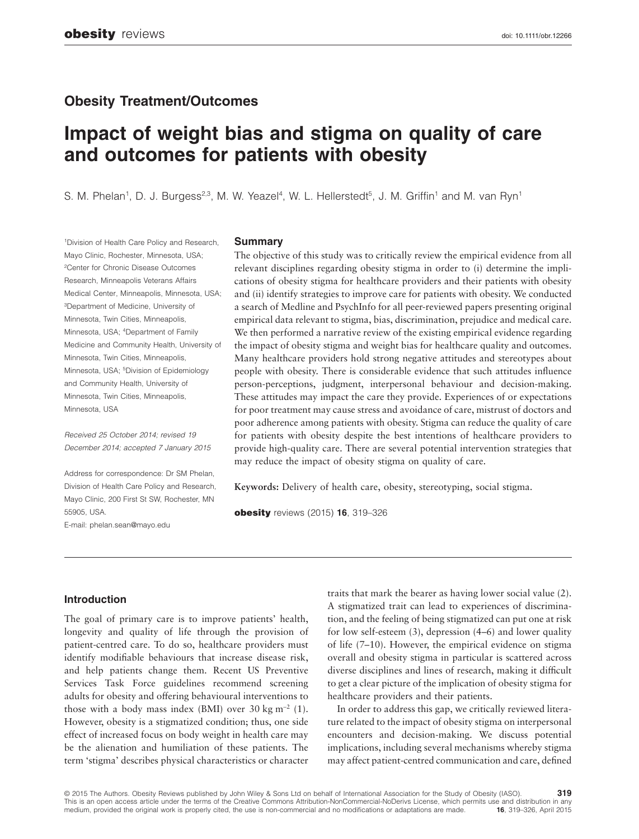# **Obesity Treatment/Outcomes**

# **Impact of weight bias and stigma on quality of care and outcomes for patients with obesity**

S. M. Phelan<sup>1</sup>, D. J. Burgess<sup>2,3</sup>, M. W. Yeazel<sup>4</sup>, W. L. Hellerstedt<sup>5</sup>, J. M. Griffin<sup>1</sup> and M. van Ryn<sup>1</sup>

1Division of Health Care Policy and Research, Mayo Clinic, Rochester, Minnesota, USA; 2Center for Chronic Disease Outcomes Research, Minneapolis Veterans Affairs Medical Center, Minneapolis, Minnesota, USA; 3Department of Medicine, University of Minnesota, Twin Cities, Minneapolis, Minnesota, USA; 4Department of Family Medicine and Community Health, University of Minnesota, Twin Cities, Minneapolis, Minnesota, USA; 5Division of Epidemiology and Community Health, University of Minnesota, Twin Cities, Minneapolis, Minnesota, USA

*Received 25 October 2014; revised 19 December 2014; accepted 7 January 2015*

Address for correspondence: Dr SM Phelan, Division of Health Care Policy and Research, Mayo Clinic, 200 First St SW, Rochester, MN 55905, USA.

E-mail: phelan.sean@mayo.edu

#### **Summary**

The objective of this study was to critically review the empirical evidence from all relevant disciplines regarding obesity stigma in order to (i) determine the implications of obesity stigma for healthcare providers and their patients with obesity and (ii) identify strategies to improve care for patients with obesity. We conducted a search of Medline and PsychInfo for all peer-reviewed papers presenting original empirical data relevant to stigma, bias, discrimination, prejudice and medical care. We then performed a narrative review of the existing empirical evidence regarding the impact of obesity stigma and weight bias for healthcare quality and outcomes. Many healthcare providers hold strong negative attitudes and stereotypes about people with obesity. There is considerable evidence that such attitudes influence person-perceptions, judgment, interpersonal behaviour and decision-making. These attitudes may impact the care they provide. Experiences of or expectations for poor treatment may cause stress and avoidance of care, mistrust of doctors and poor adherence among patients with obesity. Stigma can reduce the quality of care for patients with obesity despite the best intentions of healthcare providers to provide high-quality care. There are several potential intervention strategies that may reduce the impact of obesity stigma on quality of care.

**Keywords:** Delivery of health care, obesity, stereotyping, social stigma.

**obesity** reviews (2015) **16**, 319–326

## **Introduction**

The goal of primary care is to improve patients' health, longevity and quality of life through the provision of patient-centred care. To do so, healthcare providers must identify modifiable behaviours that increase disease risk, and help patients change them. Recent US Preventive Services Task Force guidelines recommend screening adults for obesity and offering behavioural interventions to those with a body mass index (BMI) over 30 kg m<sup>-2</sup> (1). However, obesity is a stigmatized condition; thus, one side effect of increased focus on body weight in health care may be the alienation and humiliation of these patients. The term 'stigma' describes physical characteristics or character

traits that mark the bearer as having lower social value (2). A stigmatized trait can lead to experiences of discrimination, and the feeling of being stigmatized can put one at risk for low self-esteem (3), depression (4–6) and lower quality of life (7–10). However, the empirical evidence on stigma overall and obesity stigma in particular is scattered across diverse disciplines and lines of research, making it difficult to get a clear picture of the implication of obesity stigma for healthcare providers and their patients.

In order to address this gap, we critically reviewed literature related to the impact of obesity stigma on interpersonal encounters and decision-making. We discuss potential implications, including several mechanisms whereby stigma may affect patient-centred communication and care, defined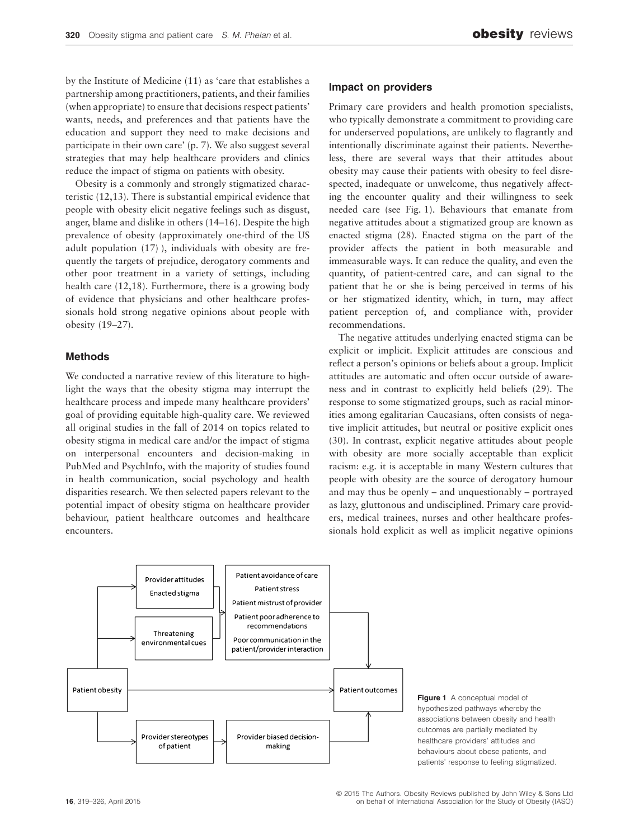by the Institute of Medicine (11) as 'care that establishes a partnership among practitioners, patients, and their families (when appropriate) to ensure that decisions respect patients' wants, needs, and preferences and that patients have the education and support they need to make decisions and participate in their own care' (p. 7). We also suggest several strategies that may help healthcare providers and clinics reduce the impact of stigma on patients with obesity.

Obesity is a commonly and strongly stigmatized characteristic (12,13). There is substantial empirical evidence that people with obesity elicit negative feelings such as disgust, anger, blame and dislike in others (14–16). Despite the high prevalence of obesity (approximately one-third of the US adult population (17) ), individuals with obesity are frequently the targets of prejudice, derogatory comments and other poor treatment in a variety of settings, including health care (12,18). Furthermore, there is a growing body of evidence that physicians and other healthcare professionals hold strong negative opinions about people with obesity (19–27).

#### **Methods**

We conducted a narrative review of this literature to highlight the ways that the obesity stigma may interrupt the healthcare process and impede many healthcare providers' goal of providing equitable high-quality care. We reviewed all original studies in the fall of 2014 on topics related to obesity stigma in medical care and/or the impact of stigma on interpersonal encounters and decision-making in PubMed and PsychInfo, with the majority of studies found in health communication, social psychology and health disparities research. We then selected papers relevant to the potential impact of obesity stigma on healthcare provider behaviour, patient healthcare outcomes and healthcare encounters.

#### **Impact on providers**

Primary care providers and health promotion specialists, who typically demonstrate a commitment to providing care for underserved populations, are unlikely to flagrantly and intentionally discriminate against their patients. Nevertheless, there are several ways that their attitudes about obesity may cause their patients with obesity to feel disrespected, inadequate or unwelcome, thus negatively affecting the encounter quality and their willingness to seek needed care (see Fig. 1). Behaviours that emanate from negative attitudes about a stigmatized group are known as enacted stigma (28). Enacted stigma on the part of the provider affects the patient in both measurable and immeasurable ways. It can reduce the quality, and even the quantity, of patient-centred care, and can signal to the patient that he or she is being perceived in terms of his or her stigmatized identity, which, in turn, may affect patient perception of, and compliance with, provider recommendations.

The negative attitudes underlying enacted stigma can be explicit or implicit. Explicit attitudes are conscious and reflect a person's opinions or beliefs about a group. Implicit attitudes are automatic and often occur outside of awareness and in contrast to explicitly held beliefs (29). The response to some stigmatized groups, such as racial minorities among egalitarian Caucasians, often consists of negative implicit attitudes, but neutral or positive explicit ones (30). In contrast, explicit negative attitudes about people with obesity are more socially acceptable than explicit racism: e.g. it is acceptable in many Western cultures that people with obesity are the source of derogatory humour and may thus be openly – and unquestionably – portrayed as lazy, gluttonous and undisciplined. Primary care providers, medical trainees, nurses and other healthcare professionals hold explicit as well as implicit negative opinions



**Figure 1** A conceptual model of hypothesized pathways whereby the associations between obesity and health outcomes are partially mediated by healthcare providers' attitudes and behaviours about obese patients, and patients' response to feeling stigmatized.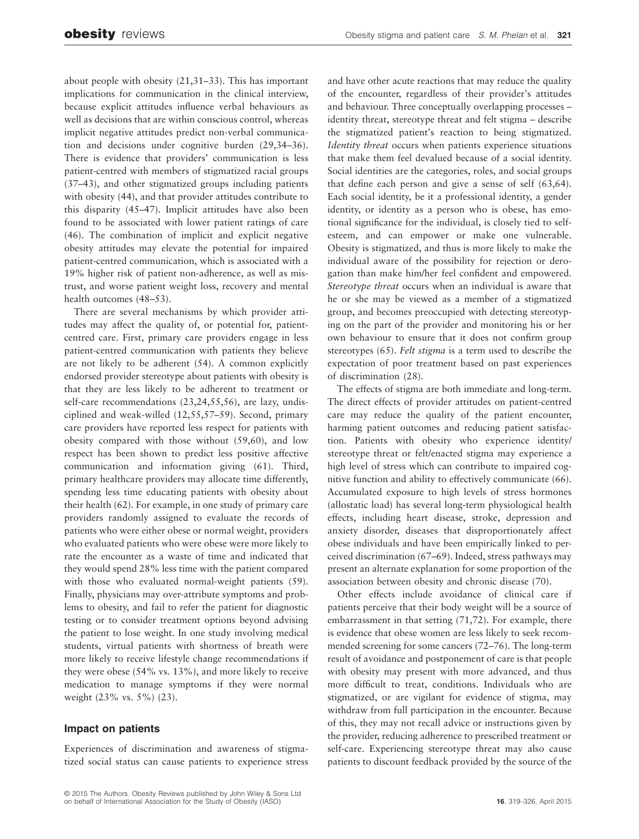about people with obesity (21,31–33). This has important implications for communication in the clinical interview, because explicit attitudes influence verbal behaviours as well as decisions that are within conscious control, whereas implicit negative attitudes predict non-verbal communication and decisions under cognitive burden (29,34–36). There is evidence that providers' communication is less patient-centred with members of stigmatized racial groups (37–43), and other stigmatized groups including patients with obesity (44), and that provider attitudes contribute to this disparity (45–47). Implicit attitudes have also been found to be associated with lower patient ratings of care (46). The combination of implicit and explicit negative obesity attitudes may elevate the potential for impaired patient-centred communication, which is associated with a 19% higher risk of patient non-adherence, as well as mistrust, and worse patient weight loss, recovery and mental health outcomes (48–53).

There are several mechanisms by which provider attitudes may affect the quality of, or potential for, patientcentred care. First, primary care providers engage in less patient-centred communication with patients they believe are not likely to be adherent (54). A common explicitly endorsed provider stereotype about patients with obesity is that they are less likely to be adherent to treatment or self-care recommendations (23,24,55,56), are lazy, undisciplined and weak-willed (12,55,57–59). Second, primary care providers have reported less respect for patients with obesity compared with those without (59,60), and low respect has been shown to predict less positive affective communication and information giving (61). Third, primary healthcare providers may allocate time differently, spending less time educating patients with obesity about their health (62). For example, in one study of primary care providers randomly assigned to evaluate the records of patients who were either obese or normal weight, providers who evaluated patients who were obese were more likely to rate the encounter as a waste of time and indicated that they would spend 28% less time with the patient compared with those who evaluated normal-weight patients (59). Finally, physicians may over-attribute symptoms and problems to obesity, and fail to refer the patient for diagnostic testing or to consider treatment options beyond advising the patient to lose weight. In one study involving medical students, virtual patients with shortness of breath were more likely to receive lifestyle change recommendations if they were obese (54% vs. 13%), and more likely to receive medication to manage symptoms if they were normal weight (23% vs. 5%) (23).

#### **Impact on patients**

Experiences of discrimination and awareness of stigmatized social status can cause patients to experience stress and have other acute reactions that may reduce the quality of the encounter, regardless of their provider's attitudes and behaviour. Three conceptually overlapping processes – identity threat, stereotype threat and felt stigma – describe the stigmatized patient's reaction to being stigmatized. *Identity threat* occurs when patients experience situations that make them feel devalued because of a social identity. Social identities are the categories, roles, and social groups that define each person and give a sense of self (63,64). Each social identity, be it a professional identity, a gender identity, or identity as a person who is obese, has emotional significance for the individual, is closely tied to selfesteem, and can empower or make one vulnerable. Obesity is stigmatized, and thus is more likely to make the individual aware of the possibility for rejection or derogation than make him/her feel confident and empowered. *Stereotype threat* occurs when an individual is aware that he or she may be viewed as a member of a stigmatized group, and becomes preoccupied with detecting stereotyping on the part of the provider and monitoring his or her own behaviour to ensure that it does not confirm group stereotypes (65). *Felt stigma* is a term used to describe the expectation of poor treatment based on past experiences of discrimination (28).

The effects of stigma are both immediate and long-term. The direct effects of provider attitudes on patient-centred care may reduce the quality of the patient encounter, harming patient outcomes and reducing patient satisfaction. Patients with obesity who experience identity/ stereotype threat or felt/enacted stigma may experience a high level of stress which can contribute to impaired cognitive function and ability to effectively communicate (66). Accumulated exposure to high levels of stress hormones (allostatic load) has several long-term physiological health effects, including heart disease, stroke, depression and anxiety disorder, diseases that disproportionately affect obese individuals and have been empirically linked to perceived discrimination (67–69). Indeed, stress pathways may present an alternate explanation for some proportion of the association between obesity and chronic disease (70).

Other effects include avoidance of clinical care if patients perceive that their body weight will be a source of embarrassment in that setting (71,72). For example, there is evidence that obese women are less likely to seek recommended screening for some cancers (72–76). The long-term result of avoidance and postponement of care is that people with obesity may present with more advanced, and thus more difficult to treat, conditions. Individuals who are stigmatized, or are vigilant for evidence of stigma, may withdraw from full participation in the encounter. Because of this, they may not recall advice or instructions given by the provider, reducing adherence to prescribed treatment or self-care. Experiencing stereotype threat may also cause patients to discount feedback provided by the source of the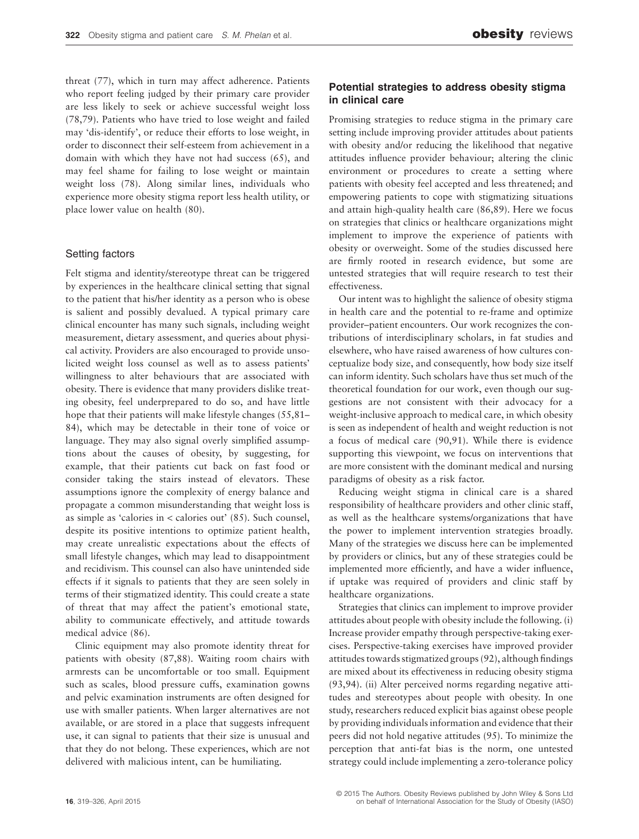threat (77), which in turn may affect adherence. Patients who report feeling judged by their primary care provider are less likely to seek or achieve successful weight loss (78,79). Patients who have tried to lose weight and failed may 'dis-identify', or reduce their efforts to lose weight, in order to disconnect their self-esteem from achievement in a domain with which they have not had success (65), and may feel shame for failing to lose weight or maintain weight loss (78). Along similar lines, individuals who experience more obesity stigma report less health utility, or place lower value on health (80).

#### Setting factors

Felt stigma and identity/stereotype threat can be triggered by experiences in the healthcare clinical setting that signal to the patient that his/her identity as a person who is obese is salient and possibly devalued. A typical primary care clinical encounter has many such signals, including weight measurement, dietary assessment, and queries about physical activity. Providers are also encouraged to provide unsolicited weight loss counsel as well as to assess patients' willingness to alter behaviours that are associated with obesity. There is evidence that many providers dislike treating obesity, feel underprepared to do so, and have little hope that their patients will make lifestyle changes (55,81– 84), which may be detectable in their tone of voice or language. They may also signal overly simplified assumptions about the causes of obesity, by suggesting, for example, that their patients cut back on fast food or consider taking the stairs instead of elevators. These assumptions ignore the complexity of energy balance and propagate a common misunderstanding that weight loss is as simple as 'calories in < calories out' (85). Such counsel, despite its positive intentions to optimize patient health, may create unrealistic expectations about the effects of small lifestyle changes, which may lead to disappointment and recidivism. This counsel can also have unintended side effects if it signals to patients that they are seen solely in terms of their stigmatized identity. This could create a state of threat that may affect the patient's emotional state, ability to communicate effectively, and attitude towards medical advice (86).

Clinic equipment may also promote identity threat for patients with obesity (87,88). Waiting room chairs with armrests can be uncomfortable or too small. Equipment such as scales, blood pressure cuffs, examination gowns and pelvic examination instruments are often designed for use with smaller patients. When larger alternatives are not available, or are stored in a place that suggests infrequent use, it can signal to patients that their size is unusual and that they do not belong. These experiences, which are not delivered with malicious intent, can be humiliating.

### **Potential strategies to address obesity stigma in clinical care**

Promising strategies to reduce stigma in the primary care setting include improving provider attitudes about patients with obesity and/or reducing the likelihood that negative attitudes influence provider behaviour; altering the clinic environment or procedures to create a setting where patients with obesity feel accepted and less threatened; and empowering patients to cope with stigmatizing situations and attain high-quality health care (86,89). Here we focus on strategies that clinics or healthcare organizations might implement to improve the experience of patients with obesity or overweight. Some of the studies discussed here are firmly rooted in research evidence, but some are untested strategies that will require research to test their effectiveness.

Our intent was to highlight the salience of obesity stigma in health care and the potential to re-frame and optimize provider–patient encounters. Our work recognizes the contributions of interdisciplinary scholars, in fat studies and elsewhere, who have raised awareness of how cultures conceptualize body size, and consequently, how body size itself can inform identity. Such scholars have thus set much of the theoretical foundation for our work, even though our suggestions are not consistent with their advocacy for a weight-inclusive approach to medical care, in which obesity is seen as independent of health and weight reduction is not a focus of medical care (90,91). While there is evidence supporting this viewpoint, we focus on interventions that are more consistent with the dominant medical and nursing paradigms of obesity as a risk factor.

Reducing weight stigma in clinical care is a shared responsibility of healthcare providers and other clinic staff, as well as the healthcare systems/organizations that have the power to implement intervention strategies broadly. Many of the strategies we discuss here can be implemented by providers or clinics, but any of these strategies could be implemented more efficiently, and have a wider influence, if uptake was required of providers and clinic staff by healthcare organizations.

Strategies that clinics can implement to improve provider attitudes about people with obesity include the following. (i) Increase provider empathy through perspective-taking exercises. Perspective-taking exercises have improved provider attitudes towards stigmatized groups (92), although findings are mixed about its effectiveness in reducing obesity stigma (93,94). (ii) Alter perceived norms regarding negative attitudes and stereotypes about people with obesity. In one study, researchers reduced explicit bias against obese people by providing individuals information and evidence that their peers did not hold negative attitudes (95). To minimize the perception that anti-fat bias is the norm, one untested strategy could include implementing a zero-tolerance policy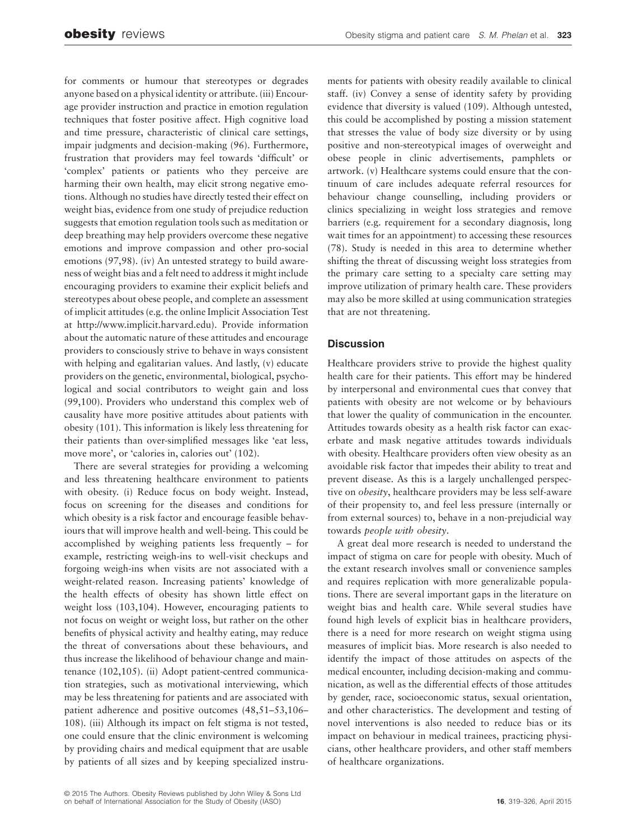for comments or humour that stereotypes or degrades anyone based on a physical identity or attribute. (iii) Encourage provider instruction and practice in emotion regulation techniques that foster positive affect. High cognitive load and time pressure, characteristic of clinical care settings, impair judgments and decision-making (96). Furthermore, frustration that providers may feel towards 'difficult' or 'complex' patients or patients who they perceive are harming their own health, may elicit strong negative emotions. Although no studies have directly tested their effect on weight bias, evidence from one study of prejudice reduction suggests that emotion regulation tools such as meditation or deep breathing may help providers overcome these negative emotions and improve compassion and other pro-social emotions (97,98). (iv) An untested strategy to build awareness of weight bias and a felt need to address it might include encouraging providers to examine their explicit beliefs and stereotypes about obese people, and complete an assessment of implicit attitudes (e.g. the online Implicit Association Test at http://www.implicit.harvard.edu). Provide information about the automatic nature of these attitudes and encourage providers to consciously strive to behave in ways consistent with helping and egalitarian values. And lastly, (v) educate providers on the genetic, environmental, biological, psychological and social contributors to weight gain and loss (99,100). Providers who understand this complex web of causality have more positive attitudes about patients with obesity (101). This information is likely less threatening for their patients than over-simplified messages like 'eat less, move more', or 'calories in, calories out' (102).

There are several strategies for providing a welcoming and less threatening healthcare environment to patients with obesity. (i) Reduce focus on body weight. Instead, focus on screening for the diseases and conditions for which obesity is a risk factor and encourage feasible behaviours that will improve health and well-being. This could be accomplished by weighing patients less frequently – for example, restricting weigh-ins to well-visit checkups and forgoing weigh-ins when visits are not associated with a weight-related reason. Increasing patients' knowledge of the health effects of obesity has shown little effect on weight loss (103,104). However, encouraging patients to not focus on weight or weight loss, but rather on the other benefits of physical activity and healthy eating, may reduce the threat of conversations about these behaviours, and thus increase the likelihood of behaviour change and maintenance (102,105). (ii) Adopt patient-centred communication strategies, such as motivational interviewing, which may be less threatening for patients and are associated with patient adherence and positive outcomes (48,51–53,106– 108). (iii) Although its impact on felt stigma is not tested, one could ensure that the clinic environment is welcoming by providing chairs and medical equipment that are usable by patients of all sizes and by keeping specialized instruments for patients with obesity readily available to clinical staff. (iv) Convey a sense of identity safety by providing evidence that diversity is valued (109). Although untested, this could be accomplished by posting a mission statement that stresses the value of body size diversity or by using positive and non-stereotypical images of overweight and obese people in clinic advertisements, pamphlets or artwork. (v) Healthcare systems could ensure that the continuum of care includes adequate referral resources for behaviour change counselling, including providers or clinics specializing in weight loss strategies and remove barriers (e.g. requirement for a secondary diagnosis, long wait times for an appointment) to accessing these resources (78). Study is needed in this area to determine whether shifting the threat of discussing weight loss strategies from the primary care setting to a specialty care setting may improve utilization of primary health care. These providers may also be more skilled at using communication strategies that are not threatening.

# **Discussion**

Healthcare providers strive to provide the highest quality health care for their patients. This effort may be hindered by interpersonal and environmental cues that convey that patients with obesity are not welcome or by behaviours that lower the quality of communication in the encounter. Attitudes towards obesity as a health risk factor can exacerbate and mask negative attitudes towards individuals with obesity. Healthcare providers often view obesity as an avoidable risk factor that impedes their ability to treat and prevent disease. As this is a largely unchallenged perspective on *obesity*, healthcare providers may be less self-aware of their propensity to, and feel less pressure (internally or from external sources) to, behave in a non-prejudicial way towards *people with obesity*.

A great deal more research is needed to understand the impact of stigma on care for people with obesity. Much of the extant research involves small or convenience samples and requires replication with more generalizable populations. There are several important gaps in the literature on weight bias and health care. While several studies have found high levels of explicit bias in healthcare providers, there is a need for more research on weight stigma using measures of implicit bias. More research is also needed to identify the impact of those attitudes on aspects of the medical encounter, including decision-making and communication, as well as the differential effects of those attitudes by gender, race, socioeconomic status, sexual orientation, and other characteristics. The development and testing of novel interventions is also needed to reduce bias or its impact on behaviour in medical trainees, practicing physicians, other healthcare providers, and other staff members of healthcare organizations.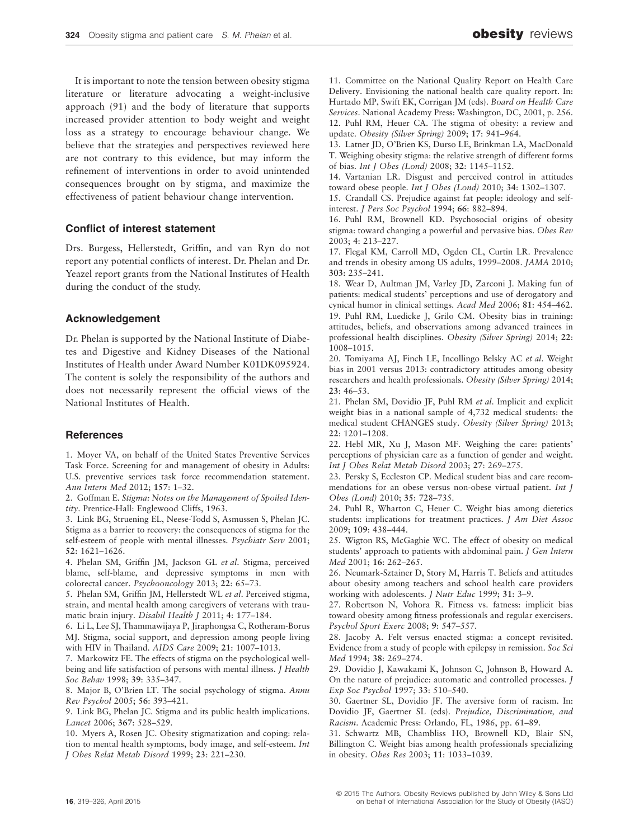It is important to note the tension between obesity stigma literature or literature advocating a weight-inclusive approach (91) and the body of literature that supports increased provider attention to body weight and weight loss as a strategy to encourage behaviour change. We believe that the strategies and perspectives reviewed here are not contrary to this evidence, but may inform the refinement of interventions in order to avoid unintended consequences brought on by stigma, and maximize the effectiveness of patient behaviour change intervention.

#### **Conflict of interest statement**

Drs. Burgess, Hellerstedt, Griffin, and van Ryn do not report any potential conflicts of interest. Dr. Phelan and Dr. Yeazel report grants from the National Institutes of Health during the conduct of the study.

#### **Acknowledgement**

Dr. Phelan is supported by the National Institute of Diabetes and Digestive and Kidney Diseases of the National Institutes of Health under Award Number K01DK095924. The content is solely the responsibility of the authors and does not necessarily represent the official views of the National Institutes of Health.

#### **References**

1. Moyer VA, on behalf of the United States Preventive Services Task Force. Screening for and management of obesity in Adults: U.S. preventive services task force recommendation statement. *Ann Intern Med* 2012; **157**: 1–32.

2. Goffman E. *Stigma: Notes on the Management of Spoiled Identity*. Prentice-Hall: Englewood Cliffs, 1963.

3. Link BG, Struening EL, Neese-Todd S, Asmussen S, Phelan JC. Stigma as a barrier to recovery: the consequences of stigma for the self-esteem of people with mental illnesses. *Psychiatr Serv* 2001; **52**: 1621–1626.

4. Phelan SM, Griffin JM, Jackson GL *et al*. Stigma, perceived blame, self-blame, and depressive symptoms in men with colorectal cancer. *Psychooncology* 2013; **22**: 65–73.

5. Phelan SM, Griffin JM, Hellerstedt WL *et al*. Perceived stigma, strain, and mental health among caregivers of veterans with traumatic brain injury. *Disabil Health J* 2011; **4**: 177–184.

6. Li L, Lee SJ, Thammawijaya P, Jiraphongsa C, Rotheram-Borus MJ. Stigma, social support, and depression among people living with HIV in Thailand. *AIDS Care* 2009; **21**: 1007–1013.

7. Markowitz FE. The effects of stigma on the psychological wellbeing and life satisfaction of persons with mental illness. *J Health Soc Behav* 1998; **39**: 335–347.

8. Major B, O'Brien LT. The social psychology of stigma. *Annu Rev Psychol* 2005; **56**: 393–421.

9. Link BG, Phelan JC. Stigma and its public health implications. *Lancet* 2006; **367**: 528–529.

10. Myers A, Rosen JC. Obesity stigmatization and coping: relation to mental health symptoms, body image, and self-esteem. *Int J Obes Relat Metab Disord* 1999; **23**: 221–230.

11. Committee on the National Quality Report on Health Care Delivery. Envisioning the national health care quality report. In: Hurtado MP, Swift EK, Corrigan JM (eds). *Board on Health Care Services*. National Academy Press: Washington, DC, 2001, p. 256. 12. Puhl RM, Heuer CA. The stigma of obesity: a review and update. *Obesity (Silver Spring)* 2009; **17**: 941–964.

13. Latner JD, O'Brien KS, Durso LE, Brinkman LA, MacDonald T. Weighing obesity stigma: the relative strength of different forms of bias. *Int J Obes (Lond)* 2008; **32**: 1145–1152.

14. Vartanian LR. Disgust and perceived control in attitudes toward obese people. *Int J Obes (Lond)* 2010; **34**: 1302–1307.

15. Crandall CS. Prejudice against fat people: ideology and selfinterest. *J Pers Soc Psychol* 1994; **66**: 882–894.

16. Puhl RM, Brownell KD. Psychosocial origins of obesity stigma: toward changing a powerful and pervasive bias. *Obes Rev* 2003; **4**: 213–227.

17. Flegal KM, Carroll MD, Ogden CL, Curtin LR. Prevalence and trends in obesity among US adults, 1999–2008. *JAMA* 2010; **303**: 235–241.

18. Wear D, Aultman JM, Varley JD, Zarconi J. Making fun of patients: medical students' perceptions and use of derogatory and cynical humor in clinical settings. *Acad Med* 2006; **81**: 454–462. 19. Puhl RM, Luedicke J, Grilo CM. Obesity bias in training: attitudes, beliefs, and observations among advanced trainees in professional health disciplines. *Obesity (Silver Spring)* 2014; **22**: 1008–1015.

20. Tomiyama AJ, Finch LE, Incollingo Belsky AC *et al*. Weight bias in 2001 versus 2013: contradictory attitudes among obesity researchers and health professionals. *Obesity (Silver Spring)* 2014; **23**: 46–53.

21. Phelan SM, Dovidio JF, Puhl RM *et al*. Implicit and explicit weight bias in a national sample of 4,732 medical students: the medical student CHANGES study. *Obesity (Silver Spring)* 2013; **22**: 1201–1208.

22. Hebl MR, Xu J, Mason MF. Weighing the care: patients' perceptions of physician care as a function of gender and weight. *Int J Obes Relat Metab Disord* 2003; **27**: 269–275.

23. Persky S, Eccleston CP. Medical student bias and care recommendations for an obese versus non-obese virtual patient. *Int J Obes (Lond)* 2010; **35**: 728–735.

24. Puhl R, Wharton C, Heuer C. Weight bias among dietetics students: implications for treatment practices. *J Am Diet Assoc* 2009; **109**: 438–444.

25. Wigton RS, McGaghie WC. The effect of obesity on medical students' approach to patients with abdominal pain. *J Gen Intern Med* 2001; **16**: 262–265.

26. Neumark-Sztainer D, Story M, Harris T. Beliefs and attitudes about obesity among teachers and school health care providers working with adolescents. *J Nutr Educ* 1999; **31**: 3–9.

27. Robertson N, Vohora R. Fitness vs. fatness: implicit bias toward obesity among fitness professionals and regular exercisers. *Psychol Sport Exerc* 2008; **9**: 547–557.

28. Jacoby A. Felt versus enacted stigma: a concept revisited. Evidence from a study of people with epilepsy in remission. *Soc Sci Med* 1994; **38**: 269–274.

29. Dovidio J, Kawakami K, Johnson C, Johnson B, Howard A. On the nature of prejudice: automatic and controlled processes. *J Exp Soc Psychol* 1997; **33**: 510–540.

30. Gaertner SL, Dovidio JF. The aversive form of racism. In: Dovidio JF, Gaertner SL (eds). *Prejudice, Discrimination, and Racism*. Academic Press: Orlando, FL, 1986, pp. 61–89.

31. Schwartz MB, Chambliss HO, Brownell KD, Blair SN, Billington C. Weight bias among health professionals specializing in obesity. *Obes Res* 2003; **11**: 1033–1039.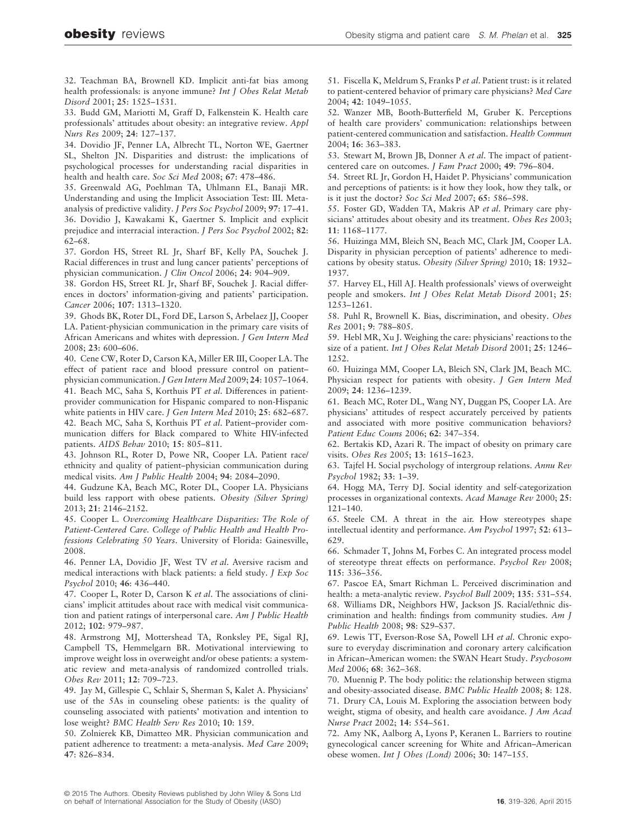32. Teachman BA, Brownell KD. Implicit anti-fat bias among health professionals: is anyone immune? *Int J Obes Relat Metab Disord* 2001; **25**: 1525–1531.

33. Budd GM, Mariotti M, Graff D, Falkenstein K. Health care professionals' attitudes about obesity: an integrative review. *Appl Nurs Res* 2009; **24**: 127–137.

34. Dovidio JF, Penner LA, Albrecht TL, Norton WE, Gaertner SL, Shelton JN. Disparities and distrust: the implications of psychological processes for understanding racial disparities in health and health care. *Soc Sci Med* 2008; **67**: 478–486.

35. Greenwald AG, Poehlman TA, Uhlmann EL, Banaji MR. Understanding and using the Implicit Association Test: III. Metaanalysis of predictive validity. *J Pers Soc Psychol* 2009; **97**: 17–41. 36. Dovidio J, Kawakami K, Gaertner S. Implicit and explicit prejudice and interracial interaction. *J Pers Soc Psychol* 2002; **82**: 62–68.

37. Gordon HS, Street RL Jr, Sharf BF, Kelly PA, Souchek J. Racial differences in trust and lung cancer patients' perceptions of physician communication. *J Clin Oncol* 2006; **24**: 904–909.

38. Gordon HS, Street RL Jr, Sharf BF, Souchek J. Racial differences in doctors' information-giving and patients' participation. *Cancer* 2006; **107**: 1313–1320.

39. Ghods BK, Roter DL, Ford DE, Larson S, Arbelaez JJ, Cooper LA. Patient-physician communication in the primary care visits of African Americans and whites with depression. *J Gen Intern Med* 2008; **23**: 600–606.

40. Cene CW, Roter D, Carson KA, Miller ER III, Cooper LA. The effect of patient race and blood pressure control on patient– physician communication.*J Gen Intern Med* 2009; **24**: 1057–1064. 41. Beach MC, Saha S, Korthuis PT *et al*. Differences in patientprovider communication for Hispanic compared to non-Hispanic white patients in HIV care. *J Gen Intern Med* 2010; **25**: 682–687. 42. Beach MC, Saha S, Korthuis PT *et al*. Patient–provider communication differs for Black compared to White HIV-infected patients. *AIDS Behav* 2010; **15**: 805–811.

43. Johnson RL, Roter D, Powe NR, Cooper LA. Patient race/ ethnicity and quality of patient–physician communication during medical visits. *Am J Public Health* 2004; **94**: 2084–2090.

44. Gudzune KA, Beach MC, Roter DL, Cooper LA. Physicians build less rapport with obese patients. *Obesity (Silver Spring)* 2013; **21**: 2146–2152.

45. Cooper L. *Overcoming Healthcare Disparities: The Role of Patient-Centered Care. College of Public Health and Health Professions Celebrating 50 Years*. University of Florida: Gainesville, 2008.

46. Penner LA, Dovidio JF, West TV *et al*. Aversive racism and medical interactions with black patients: a field study. *J Exp Soc Psychol* 2010; **46**: 436–440.

47. Cooper L, Roter D, Carson K *et al*. The associations of clinicians' implicit attitudes about race with medical visit communication and patient ratings of interpersonal care. *Am J Public Health* 2012; **102**: 979–987.

48. Armstrong MJ, Mottershead TA, Ronksley PE, Sigal RJ, Campbell TS, Hemmelgarn BR. Motivational interviewing to improve weight loss in overweight and/or obese patients: a systematic review and meta-analysis of randomized controlled trials. *Obes Rev* 2011; **12**: 709–723.

49. Jay M, Gillespie C, Schlair S, Sherman S, Kalet A. Physicians' use of the 5As in counseling obese patients: is the quality of counseling associated with patients' motivation and intention to lose weight? *BMC Health Serv Res* 2010; **10**: 159.

50. Zolnierek KB, Dimatteo MR. Physician communication and patient adherence to treatment: a meta-analysis. *Med Care* 2009; **47**: 826–834.

51. Fiscella K, Meldrum S, Franks P *et al*. Patient trust: is it related to patient-centered behavior of primary care physicians? *Med Care* 2004; **42**: 1049–1055.

52. Wanzer MB, Booth-Butterfield M, Gruber K. Perceptions of health care providers' communication: relationships between patient-centered communication and satisfaction. *Health Commun* 2004; **16**: 363–383.

53. Stewart M, Brown JB, Donner A *et al*. The impact of patientcentered care on outcomes. *J Fam Pract* 2000; **49**: 796–804.

54. Street RL Jr, Gordon H, Haidet P. Physicians' communication and perceptions of patients: is it how they look, how they talk, or is it just the doctor? *Soc Sci Med* 2007; **65**: 586–598.

55. Foster GD, Wadden TA, Makris AP *et al*. Primary care physicians' attitudes about obesity and its treatment. *Obes Res* 2003; **11**: 1168–1177.

56. Huizinga MM, Bleich SN, Beach MC, Clark JM, Cooper LA. Disparity in physician perception of patients' adherence to medications by obesity status. *Obesity (Silver Spring)* 2010; **18**: 1932– 1937.

57. Harvey EL, Hill AJ. Health professionals' views of overweight people and smokers. *Int J Obes Relat Metab Disord* 2001; **25**: 1253–1261.

58. Puhl R, Brownell K. Bias, discrimination, and obesity. *Obes Res* 2001; **9**: 788–805.

59. Hebl MR, Xu J. Weighing the care: physicians' reactions to the size of a patient. *Int J Obes Relat Metab Disord* 2001; **25**: 1246– 1252.

60. Huizinga MM, Cooper LA, Bleich SN, Clark JM, Beach MC. Physician respect for patients with obesity. *J Gen Intern Med* 2009; **24**: 1236–1239.

61. Beach MC, Roter DL, Wang NY, Duggan PS, Cooper LA. Are physicians' attitudes of respect accurately perceived by patients and associated with more positive communication behaviors? *Patient Educ Couns* 2006; **62**: 347–354.

62. Bertakis KD, Azari R. The impact of obesity on primary care visits. *Obes Res* 2005; **13**: 1615–1623.

63. Tajfel H. Social psychology of intergroup relations. *Annu Rev Psychol* 1982; **33**: 1–39.

64. Hogg MA, Terry DJ. Social identity and self-categorization processes in organizational contexts. *Acad Manage Rev* 2000; **25**: 121–140.

65. Steele CM. A threat in the air. How stereotypes shape intellectual identity and performance. *Am Psychol* 1997; **52**: 613– 629.

66. Schmader T, Johns M, Forbes C. An integrated process model of stereotype threat effects on performance. *Psychol Rev* 2008; **115**: 336–356.

67. Pascoe EA, Smart Richman L. Perceived discrimination and health: a meta-analytic review. *Psychol Bull* 2009; **135**: 531–554. 68. Williams DR, Neighbors HW, Jackson JS. Racial/ethnic discrimination and health: findings from community studies. *Am J Public Health* 2008; **98**: S29–S37.

69. Lewis TT, Everson-Rose SA, Powell LH *et al*. Chronic exposure to everyday discrimination and coronary artery calcification in African–American women: the SWAN Heart Study. *Psychosom Med* 2006; **68**: 362–368.

70. Muennig P. The body politic: the relationship between stigma and obesity-associated disease. *BMC Public Health* 2008; **8**: 128. 71. Drury CA, Louis M. Exploring the association between body weight, stigma of obesity, and health care avoidance. *J Am Acad Nurse Pract* 2002; **14**: 554–561.

72. Amy NK, Aalborg A, Lyons P, Keranen L. Barriers to routine gynecological cancer screening for White and African–American obese women. *Int J Obes (Lond)* 2006; **30**: 147–155.